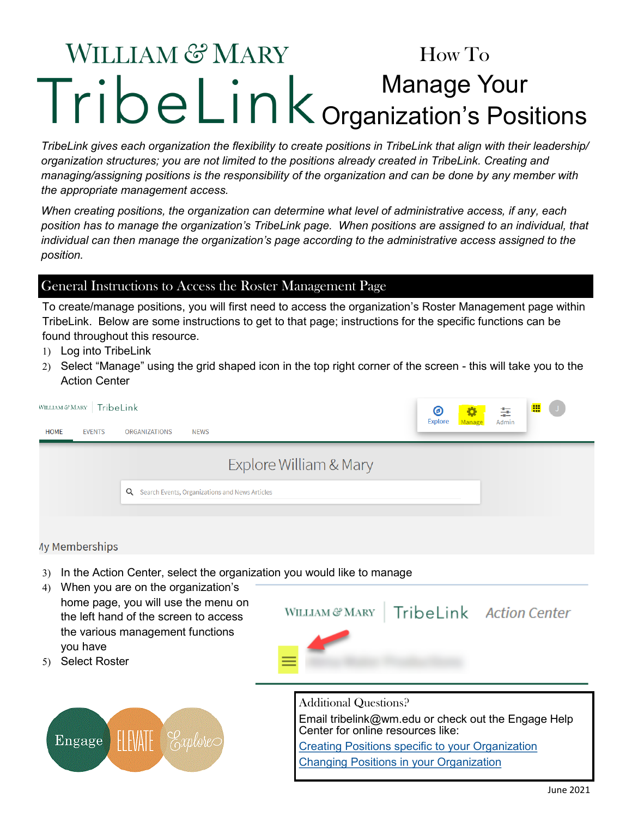# **WILLIAM & MARY** How To Manage Your Organization's Positions

*TribeLink gives each organization the flexibility to create positions in TribeLink that align with their leadership/ organization structures; you are not limited to the positions already created in TribeLink. Creating and managing/assigning positions is the responsibility of the organization and can be done by any member with the appropriate management access.* 

*When creating positions, the organization can determine what level of administrative access, if any, each position has to manage the organization's TribeLink page. When positions are assigned to an individual, that individual can then manage the organization's page according to the administrative access assigned to the position.* 

#### General Instructions to Access the Roster Management Page

To create/manage positions, you will first need to access the organization's Roster Management page within TribeLink. Below are some instructions to get to that page; instructions for the specific functions can be found throughout this resource.

- 1) Log into TribeLink
- Select "Manage" using the grid shaped icon in the top right corner of the screen this will take you to the Action Center

| WILLIAM & MARY   TribeLink                                   | $\boldsymbol{\circledcirc}$ | - 12   | 奎     | 噩 | $\overline{\phantom{a}}$ |
|--------------------------------------------------------------|-----------------------------|--------|-------|---|--------------------------|
| <b>EVENTS</b><br>ORGANIZATIONS<br><b>HOME</b><br><b>NEWS</b> | <b>Explore</b>              | Manage | Admin |   |                          |
| Explore William & Mary                                       |                             |        |       |   |                          |
| Q Search Events, Organizations and News Articles             |                             |        |       |   |                          |
|                                                              |                             |        |       |   |                          |

#### **Ay Memberships**

- 3) In the Action Center, select the organization you would like to manage
- When you are on the organization's home page, you will use the menu on the left hand of the screen to access the various management functions you have
- 5) Select Roster





Additional Questions?

Email tribelink@wm.edu or check out the Engage Help Center for online resources like:

[Creating Positions specific to your Organization](https://engagesupport.campuslabs.com/hc/en-us/articles/204033724-Creating-Positions-specific-to-your-Organization) [Changing Positions in your Organization](https://engagesupport.campuslabs.com/hc/en-us/articles/205187790-Changing-Positions-in-your-organization)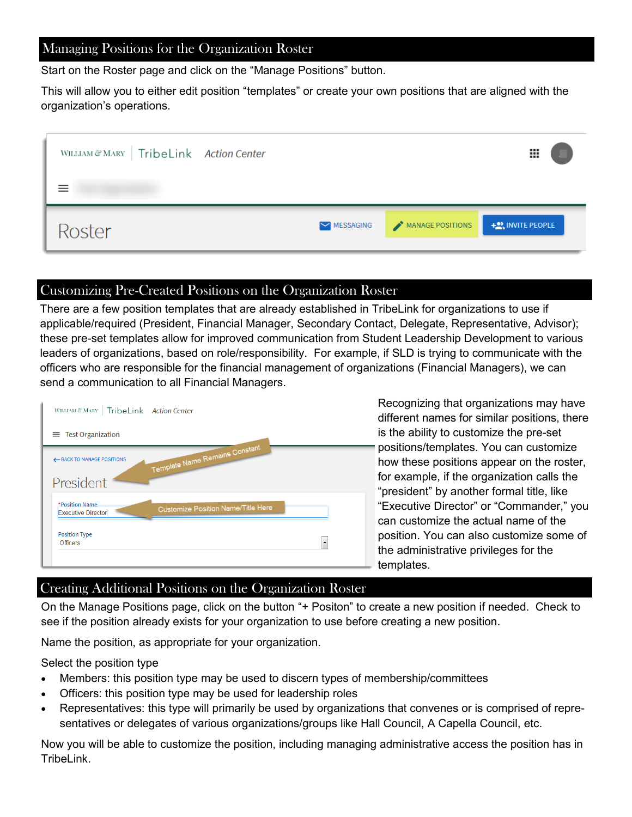### Managing Positions for the Organization Roster

Start on the Roster page and click on the "Manage Positions" button.

This will allow you to either edit position "templates" or create your own positions that are aligned with the organization's operations.

| WILLIAM & MARY   TribeLink Action Center |                            | ₩                              |
|------------------------------------------|----------------------------|--------------------------------|
| Roster                                   | MESSAGING MANAGE POSITIONS | $+$ <sup>2</sup> INVITE PEOPLE |

# Customizing Pre-Created Positions on the Organization Roster

There are a few position templates that are already established in TribeLink for organizations to use if applicable/required (President, Financial Manager, Secondary Contact, Delegate, Representative, Advisor); these pre-set templates allow for improved communication from Student Leadership Development to various leaders of organizations, based on role/responsibility. For example, if SLD is trying to communicate with the officers who are responsible for the financial management of organizations (Financial Managers), we can send a communication to all Financial Managers.



Recognizing that organizations may have different names for similar positions, there is the ability to customize the pre-set positions/templates. You can customize how these positions appear on the roster, for example, if the organization calls the "president" by another formal title, like "Executive Director" or "Commander," you can customize the actual name of the position. You can also customize some of the administrative privileges for the templates.

## Creating Additional Positions on the Organization Roster

On the Manage Positions page, click on the button "+ Positon" to create a new position if needed. Check to see if the position already exists for your organization to use before creating a new position.

Name the position, as appropriate for your organization.

Select the position type

- Members: this position type may be used to discern types of membership/committees
- Officers: this position type may be used for leadership roles
- Representatives: this type will primarily be used by organizations that convenes or is comprised of representatives or delegates of various organizations/groups like Hall Council, A Capella Council, etc.

Now you will be able to customize the position, including managing administrative access the position has in TribeLink.